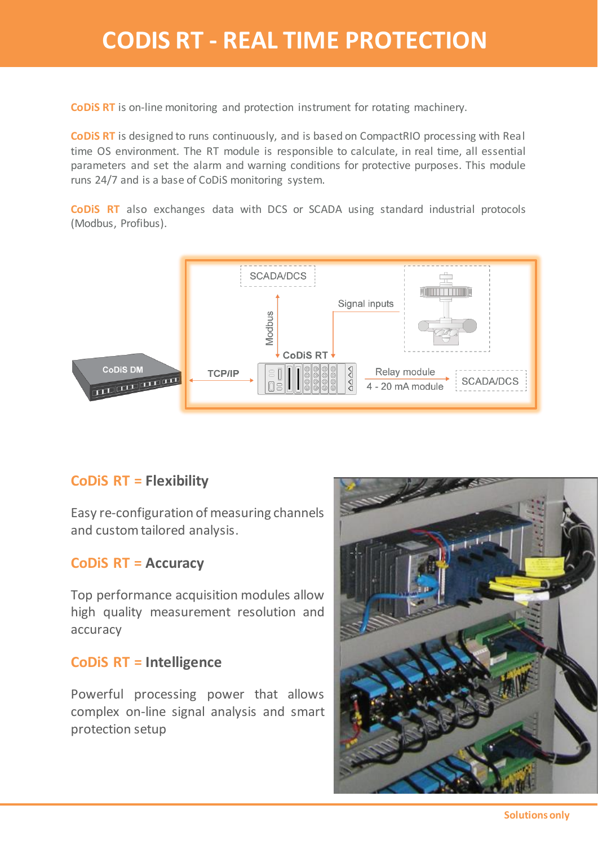## **CODIS RT - REAL TIME PROTECTION**

**CoDiS RT** is on-line monitoring and protection instrument for rotating machinery.

**CoDiS RT** is designed to runs continuously, and is based on CompactRIO processing with Real time OS environment. The RT module is responsible to calculate, in real time, all essential parameters and set the alarm and warning conditions for protective purposes. This module runs 24/7 and is a base of CoDiS monitoring system.

**CoDiS RT** also exchanges data with DCS or SCADA using standard industrial protocols (Modbus, Profibus).



## **CoDiS RT = Flexibility**

Easy re-configuration of measuring channels and custom tailored analysis.

## **CoDiS RT = Accuracy**

Top performance acquisition modules allow high quality measurement resolution and accuracy

#### **CoDiS RT = Intelligence**

Powerful processing power that allows complex on-line signal analysis and smart protection setup